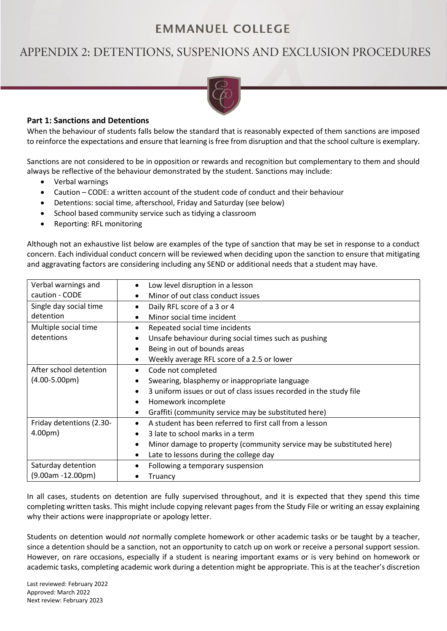## **EMMANUEL COLLEGE**

# APPENDIX 2: DETENTIONS, SUSPENIONS AND EXCLUSION PROCEDURES



## **Part 1: Sanctions and Detentions**

When the behaviour of students falls below the standard that is reasonably expected of them sanctions are imposed to reinforce the expectations and ensure that learning is free from disruption and that the school culture is exemplary.

Sanctions are not considered to be in opposition or rewards and recognition but complementary to them and should always be reflective of the behaviour demonstrated by the student. Sanctions may include:

- Verbal warnings
- Caution CODE: a written account of the student code of conduct and their behaviour
- Detentions: social time, afterschool, Friday and Saturday (see below)
- School based community service such as tidying a classroom
- Reporting: RFL monitoring

Although not an exhaustive list below are examples of the type of sanction that may be set in response to a conduct concern. Each individual conduct concern will be reviewed when deciding upon the sanction to ensure that mitigating and aggravating factors are considering including any SEND or additional needs that a student may have.

| Verbal warnings and                                                      | Low level disruption in a lesson                                     |  |
|--------------------------------------------------------------------------|----------------------------------------------------------------------|--|
| caution - CODE                                                           | Minor of out class conduct issues                                    |  |
| Single day social time                                                   | Daily RFL score of a 3 or 4                                          |  |
| detention                                                                | Minor social time incident                                           |  |
| Multiple social time                                                     | Repeated social time incidents                                       |  |
| detentions                                                               | Unsafe behaviour during social times such as pushing                 |  |
|                                                                          | Being in out of bounds areas                                         |  |
|                                                                          | Weekly average RFL score of a 2.5 or lower                           |  |
| After school detention                                                   | Code not completed                                                   |  |
| $(4.00-5.00 \text{pm})$<br>Swearing, blasphemy or inappropriate language |                                                                      |  |
|                                                                          | 3 uniform issues or out of class issues recorded in the study file   |  |
|                                                                          | Homework incomplete                                                  |  |
|                                                                          | Graffiti (community service may be substituted here)                 |  |
| Friday detentions (2.30-                                                 | A student has been referred to first call from a lesson              |  |
| 4.00 <sub>pm</sub>                                                       | 3 late to school marks in a term                                     |  |
|                                                                          | Minor damage to property (community service may be substituted here) |  |
|                                                                          | Late to lessons during the college day                               |  |
| Saturday detention                                                       | Following a temporary suspension                                     |  |
| $(9.00am - 12.00pm)$                                                     | Truancy                                                              |  |

In all cases, students on detention are fully supervised throughout, and it is expected that they spend this time completing written tasks. This might include copying relevant pages from the Study File or writing an essay explaining why their actions were inappropriate or apology letter.

Students on detention would *not* normally complete homework or other academic tasks or be taught by a teacher, since a detention should be a sanction, not an opportunity to catch up on work or receive a personal support session. However, on rare occasions, especially if a student is nearing important exams or is very behind on homework or academic tasks, completing academic work during a detention might be appropriate. This is at the teacher's discretion

Last reviewed: February 2022 Approved: March 2022 Next review: February 2023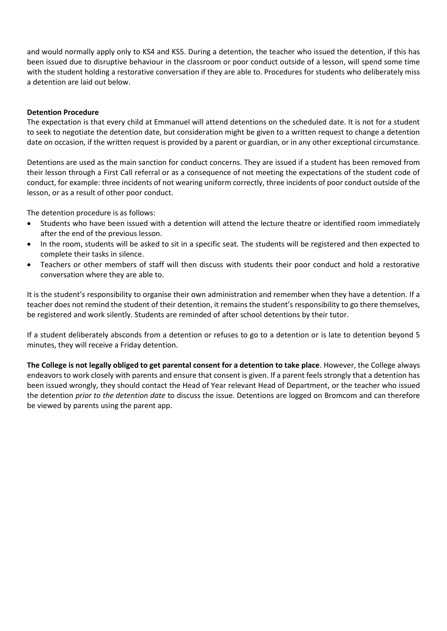and would normally apply only to KS4 and KS5. During a detention, the teacher who issued the detention, if this has been issued due to disruptive behaviour in the classroom or poor conduct outside of a lesson, will spend some time with the student holding a restorative conversation if they are able to. Procedures for students who deliberately miss a detention are laid out below.

#### **Detention Procedure**

The expectation is that every child at Emmanuel will attend detentions on the scheduled date. It is not for a student to seek to negotiate the detention date, but consideration might be given to a written request to change a detention date on occasion, if the written request is provided by a parent or guardian, or in any other exceptional circumstance.

Detentions are used as the main sanction for conduct concerns. They are issued if a student has been removed from their lesson through a First Call referral or as a consequence of not meeting the expectations of the student code of conduct, for example: three incidents of not wearing uniform correctly, three incidents of poor conduct outside of the lesson, or as a result of other poor conduct.

The detention procedure is as follows:

- Students who have been issued with a detention will attend the lecture theatre or identified room immediately after the end of the previous lesson.
- In the room, students will be asked to sit in a specific seat. The students will be registered and then expected to complete their tasks in silence.
- Teachers or other members of staff will then discuss with students their poor conduct and hold a restorative conversation where they are able to.

It is the student's responsibility to organise their own administration and remember when they have a detention. If a teacher does not remind the student of their detention, it remains the student's responsibility to go there themselves, be registered and work silently. Students are reminded of after school detentions by their tutor.

If a student deliberately absconds from a detention or refuses to go to a detention or is late to detention beyond 5 minutes, they will receive a Friday detention.

**The College is not legally obliged to get parental consent for a detention to take place**. However, the College always endeavors to work closely with parents and ensure that consent is given. If a parent feels strongly that a detention has been issued wrongly, they should contact the Head of Year relevant Head of Department, or the teacher who issued the detention *prior to the detention date* to discuss the issue. Detentions are logged on Bromcom and can therefore be viewed by parents using the parent app.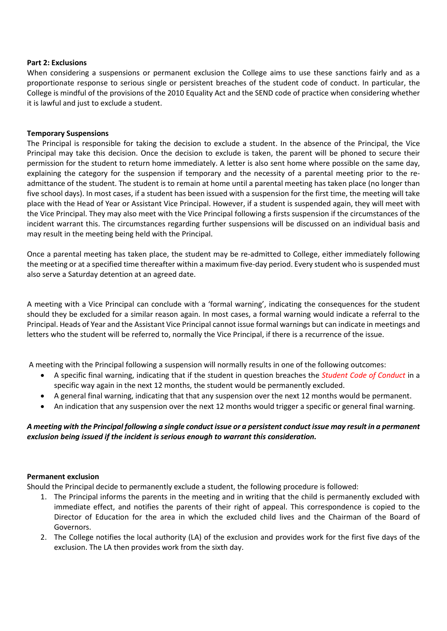#### **Part 2: Exclusions**

When considering a suspensions or permanent exclusion the College aims to use these sanctions fairly and as a proportionate response to serious single or persistent breaches of the student code of conduct. In particular, the College is mindful of the provisions of the 2010 Equality Act and the SEND code of practice when considering whether it is lawful and just to exclude a student.

#### **Temporary Suspensions**

The Principal is responsible for taking the decision to exclude a student. In the absence of the Principal, the Vice Principal may take this decision. Once the decision to exclude is taken, the parent will be phoned to secure their permission for the student to return home immediately. A letter is also sent home where possible on the same day, explaining the category for the suspension if temporary and the necessity of a parental meeting prior to the readmittance of the student. The student is to remain at home until a parental meeting has taken place (no longer than five school days). In most cases, if a student has been issued with a suspension for the first time, the meeting will take place with the Head of Year or Assistant Vice Principal. However, if a student is suspended again, they will meet with the Vice Principal. They may also meet with the Vice Principal following a firsts suspension if the circumstances of the incident warrant this. The circumstances regarding further suspensions will be discussed on an individual basis and may result in the meeting being held with the Principal.

Once a parental meeting has taken place, the student may be re-admitted to College, either immediately following the meeting or at a specified time thereafter within a maximum five-day period. Every student who is suspended must also serve a Saturday detention at an agreed date.

A meeting with a Vice Principal can conclude with a 'formal warning', indicating the consequences for the student should they be excluded for a similar reason again. In most cases, a formal warning would indicate a referral to the Principal. Heads of Year and the Assistant Vice Principal cannot issue formal warnings but can indicate in meetings and letters who the student will be referred to, normally the Vice Principal, if there is a recurrence of the issue.

A meeting with the Principal following a suspension will normally results in one of the following outcomes:

- A specific final warning, indicating that if the student in question breaches the *Student Code of Conduct* in a specific way again in the next 12 months, the student would be permanently excluded.
- A general final warning, indicating that that any suspension over the next 12 months would be permanent.
- An indication that any suspension over the next 12 months would trigger a specific or general final warning.

### *A meeting with the Principal following a single conduct issue or a persistent conduct issue may result in a permanent exclusion being issued if the incident is serious enough to warrant this consideration.*

#### **Permanent exclusion**

Should the Principal decide to permanently exclude a student, the following procedure is followed:

- 1. The Principal informs the parents in the meeting and in writing that the child is permanently excluded with immediate effect, and notifies the parents of their right of appeal. This correspondence is copied to the Director of Education for the area in which the excluded child lives and the Chairman of the Board of Governors.
- 2. The College notifies the local authority (LA) of the exclusion and provides work for the first five days of the exclusion. The LA then provides work from the sixth day.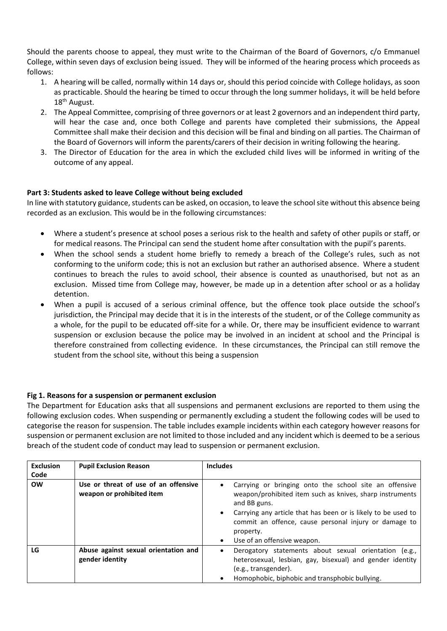Should the parents choose to appeal, they must write to the Chairman of the Board of Governors, c/o Emmanuel College, within seven days of exclusion being issued. They will be informed of the hearing process which proceeds as follows:

- 1. A hearing will be called, normally within 14 days or, should this period coincide with College holidays, as soon as practicable. Should the hearing be timed to occur through the long summer holidays, it will be held before 18<sup>th</sup> August.
- 2. The Appeal Committee, comprising of three governors or at least 2 governors and an independent third party, will hear the case and, once both College and parents have completed their submissions, the Appeal Committee shall make their decision and this decision will be final and binding on all parties. The Chairman of the Board of Governors will inform the parents/carers of their decision in writing following the hearing.
- 3. The Director of Education for the area in which the excluded child lives will be informed in writing of the outcome of any appeal.

## **Part 3: Students asked to leave College without being excluded**

In line with statutory guidance, students can be asked, on occasion, to leave the school site without this absence being recorded as an exclusion. This would be in the following circumstances:

- Where a student's presence at school poses a serious risk to the health and safety of other pupils or staff, or for medical reasons. The Principal can send the student home after consultation with the pupil's parents.
- When the school sends a student home briefly to remedy a breach of the College's rules, such as not conforming to the uniform code; this is not an exclusion but rather an authorised absence. Where a student continues to breach the rules to avoid school, their absence is counted as unauthorised, but not as an exclusion. Missed time from College may, however, be made up in a detention after school or as a holiday detention.
- When a pupil is accused of a serious criminal offence, but the offence took place outside the school's jurisdiction, the Principal may decide that it is in the interests of the student, or of the College community as a whole, for the pupil to be educated off-site for a while. Or, there may be insufficient evidence to warrant suspension or exclusion because the police may be involved in an incident at school and the Principal is therefore constrained from collecting evidence. In these circumstances, the Principal can still remove the student from the school site, without this being a suspension

## **Fig 1. Reasons for a suspension or permanent exclusion**

The Department for Education asks that all suspensions and permanent exclusions are reported to them using the following exclusion codes. When suspending or permanently excluding a student the following codes will be used to categorise the reason for suspension. The table includes example incidents within each category however reasons for suspension or permanent exclusion are not limited to those included and any incident which is deemed to be a serious breach of the student code of conduct may lead to suspension or permanent exclusion.

| <b>Exclusion</b> | <b>Pupil Exclusion Reason</b>                                     | <b>Includes</b>                                                                                                                                                                                                                                                                                                                    |
|------------------|-------------------------------------------------------------------|------------------------------------------------------------------------------------------------------------------------------------------------------------------------------------------------------------------------------------------------------------------------------------------------------------------------------------|
| Code             |                                                                   |                                                                                                                                                                                                                                                                                                                                    |
| <b>OW</b>        | Use or threat of use of an offensive<br>weapon or prohibited item | Carrying or bringing onto the school site an offensive<br>weapon/prohibited item such as knives, sharp instruments<br>and BB guns.<br>Carrying any article that has been or is likely to be used to<br>$\bullet$<br>commit an offence, cause personal injury or damage to<br>property.<br>Use of an offensive weapon.<br>$\bullet$ |
|                  |                                                                   |                                                                                                                                                                                                                                                                                                                                    |
| LG               | Abuse against sexual orientation and                              | Derogatory statements about sexual orientation (e.g.,<br>$\bullet$                                                                                                                                                                                                                                                                 |
|                  | gender identity                                                   | heterosexual, lesbian, gay, bisexual) and gender identity                                                                                                                                                                                                                                                                          |
|                  |                                                                   | (e.g., transgender).                                                                                                                                                                                                                                                                                                               |
|                  |                                                                   | Homophobic, biphobic and transphobic bullying.                                                                                                                                                                                                                                                                                     |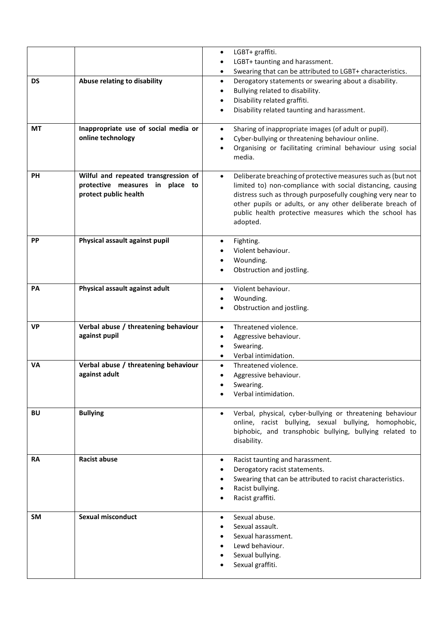| LGBT+ taunting and harassment.<br>$\bullet$<br>Swearing that can be attributed to LGBT+ characteristics.<br>$\bullet$<br>Abuse relating to disability<br><b>DS</b><br>Derogatory statements or swearing about a disability.<br>$\bullet$<br>Bullying related to disability.<br>$\bullet$<br>Disability related graffiti.<br>$\bullet$<br>Disability related taunting and harassment.<br>$\bullet$<br>Inappropriate use of social media or<br>МT<br>Sharing of inappropriate images (of adult or pupil).<br>$\bullet$<br>online technology<br>Cyber-bullying or threatening behaviour online.<br>$\bullet$<br>Organising or facilitating criminal behaviour using social<br>$\bullet$<br>media.<br><b>PH</b><br>Wilful and repeated transgression of<br>Deliberate breaching of protective measures such as (but not<br>$\bullet$<br>protective measures in place to<br>limited to) non-compliance with social distancing, causing<br>protect public health<br>distress such as through purposefully coughing very near to<br>other pupils or adults, or any other deliberate breach of<br>public health protective measures which the school has<br>adopted.<br>Physical assault against pupil<br><b>PP</b><br>Fighting.<br>$\bullet$<br>Violent behaviour.<br>Wounding.<br>$\bullet$<br>Obstruction and jostling.<br>$\bullet$<br>PA<br>Physical assault against adult<br>Violent behaviour.<br>$\bullet$<br>Wounding.<br>$\bullet$<br>Obstruction and jostling.<br>$\bullet$<br>VP<br>Verbal abuse / threatening behaviour<br>Threatened violence.<br>$\bullet$<br>against pupil<br>Aggressive behaviour.<br>$\bullet$<br>Swearing.<br>$\bullet$<br>Verbal intimidation.<br>$\bullet$<br><b>VA</b><br>Verbal abuse / threatening behaviour<br>Threatened violence.<br>$\bullet$<br>against adult<br>Aggressive behaviour.<br>Swearing.<br>Verbal intimidation.<br><b>BU</b><br><b>Bullying</b><br>Verbal, physical, cyber-bullying or threatening behaviour<br>$\bullet$<br>online, racist bullying, sexual bullying, homophobic,<br>biphobic, and transphobic bullying, bullying related to<br>disability.<br><b>Racist abuse</b><br><b>RA</b><br>Racist taunting and harassment.<br>$\bullet$ |
|---------------------------------------------------------------------------------------------------------------------------------------------------------------------------------------------------------------------------------------------------------------------------------------------------------------------------------------------------------------------------------------------------------------------------------------------------------------------------------------------------------------------------------------------------------------------------------------------------------------------------------------------------------------------------------------------------------------------------------------------------------------------------------------------------------------------------------------------------------------------------------------------------------------------------------------------------------------------------------------------------------------------------------------------------------------------------------------------------------------------------------------------------------------------------------------------------------------------------------------------------------------------------------------------------------------------------------------------------------------------------------------------------------------------------------------------------------------------------------------------------------------------------------------------------------------------------------------------------------------------------------------------------------------------------------------------------------------------------------------------------------------------------------------------------------------------------------------------------------------------------------------------------------------------------------------------------------------------------------------------------------------------------------------------------------------------------------------------------------------------------------------------------------------------------------------------------|
|                                                                                                                                                                                                                                                                                                                                                                                                                                                                                                                                                                                                                                                                                                                                                                                                                                                                                                                                                                                                                                                                                                                                                                                                                                                                                                                                                                                                                                                                                                                                                                                                                                                                                                                                                                                                                                                                                                                                                                                                                                                                                                                                                                                                   |
|                                                                                                                                                                                                                                                                                                                                                                                                                                                                                                                                                                                                                                                                                                                                                                                                                                                                                                                                                                                                                                                                                                                                                                                                                                                                                                                                                                                                                                                                                                                                                                                                                                                                                                                                                                                                                                                                                                                                                                                                                                                                                                                                                                                                   |
|                                                                                                                                                                                                                                                                                                                                                                                                                                                                                                                                                                                                                                                                                                                                                                                                                                                                                                                                                                                                                                                                                                                                                                                                                                                                                                                                                                                                                                                                                                                                                                                                                                                                                                                                                                                                                                                                                                                                                                                                                                                                                                                                                                                                   |
|                                                                                                                                                                                                                                                                                                                                                                                                                                                                                                                                                                                                                                                                                                                                                                                                                                                                                                                                                                                                                                                                                                                                                                                                                                                                                                                                                                                                                                                                                                                                                                                                                                                                                                                                                                                                                                                                                                                                                                                                                                                                                                                                                                                                   |
|                                                                                                                                                                                                                                                                                                                                                                                                                                                                                                                                                                                                                                                                                                                                                                                                                                                                                                                                                                                                                                                                                                                                                                                                                                                                                                                                                                                                                                                                                                                                                                                                                                                                                                                                                                                                                                                                                                                                                                                                                                                                                                                                                                                                   |
|                                                                                                                                                                                                                                                                                                                                                                                                                                                                                                                                                                                                                                                                                                                                                                                                                                                                                                                                                                                                                                                                                                                                                                                                                                                                                                                                                                                                                                                                                                                                                                                                                                                                                                                                                                                                                                                                                                                                                                                                                                                                                                                                                                                                   |
|                                                                                                                                                                                                                                                                                                                                                                                                                                                                                                                                                                                                                                                                                                                                                                                                                                                                                                                                                                                                                                                                                                                                                                                                                                                                                                                                                                                                                                                                                                                                                                                                                                                                                                                                                                                                                                                                                                                                                                                                                                                                                                                                                                                                   |
|                                                                                                                                                                                                                                                                                                                                                                                                                                                                                                                                                                                                                                                                                                                                                                                                                                                                                                                                                                                                                                                                                                                                                                                                                                                                                                                                                                                                                                                                                                                                                                                                                                                                                                                                                                                                                                                                                                                                                                                                                                                                                                                                                                                                   |
|                                                                                                                                                                                                                                                                                                                                                                                                                                                                                                                                                                                                                                                                                                                                                                                                                                                                                                                                                                                                                                                                                                                                                                                                                                                                                                                                                                                                                                                                                                                                                                                                                                                                                                                                                                                                                                                                                                                                                                                                                                                                                                                                                                                                   |
|                                                                                                                                                                                                                                                                                                                                                                                                                                                                                                                                                                                                                                                                                                                                                                                                                                                                                                                                                                                                                                                                                                                                                                                                                                                                                                                                                                                                                                                                                                                                                                                                                                                                                                                                                                                                                                                                                                                                                                                                                                                                                                                                                                                                   |
|                                                                                                                                                                                                                                                                                                                                                                                                                                                                                                                                                                                                                                                                                                                                                                                                                                                                                                                                                                                                                                                                                                                                                                                                                                                                                                                                                                                                                                                                                                                                                                                                                                                                                                                                                                                                                                                                                                                                                                                                                                                                                                                                                                                                   |
|                                                                                                                                                                                                                                                                                                                                                                                                                                                                                                                                                                                                                                                                                                                                                                                                                                                                                                                                                                                                                                                                                                                                                                                                                                                                                                                                                                                                                                                                                                                                                                                                                                                                                                                                                                                                                                                                                                                                                                                                                                                                                                                                                                                                   |
|                                                                                                                                                                                                                                                                                                                                                                                                                                                                                                                                                                                                                                                                                                                                                                                                                                                                                                                                                                                                                                                                                                                                                                                                                                                                                                                                                                                                                                                                                                                                                                                                                                                                                                                                                                                                                                                                                                                                                                                                                                                                                                                                                                                                   |
|                                                                                                                                                                                                                                                                                                                                                                                                                                                                                                                                                                                                                                                                                                                                                                                                                                                                                                                                                                                                                                                                                                                                                                                                                                                                                                                                                                                                                                                                                                                                                                                                                                                                                                                                                                                                                                                                                                                                                                                                                                                                                                                                                                                                   |
|                                                                                                                                                                                                                                                                                                                                                                                                                                                                                                                                                                                                                                                                                                                                                                                                                                                                                                                                                                                                                                                                                                                                                                                                                                                                                                                                                                                                                                                                                                                                                                                                                                                                                                                                                                                                                                                                                                                                                                                                                                                                                                                                                                                                   |
|                                                                                                                                                                                                                                                                                                                                                                                                                                                                                                                                                                                                                                                                                                                                                                                                                                                                                                                                                                                                                                                                                                                                                                                                                                                                                                                                                                                                                                                                                                                                                                                                                                                                                                                                                                                                                                                                                                                                                                                                                                                                                                                                                                                                   |
|                                                                                                                                                                                                                                                                                                                                                                                                                                                                                                                                                                                                                                                                                                                                                                                                                                                                                                                                                                                                                                                                                                                                                                                                                                                                                                                                                                                                                                                                                                                                                                                                                                                                                                                                                                                                                                                                                                                                                                                                                                                                                                                                                                                                   |
|                                                                                                                                                                                                                                                                                                                                                                                                                                                                                                                                                                                                                                                                                                                                                                                                                                                                                                                                                                                                                                                                                                                                                                                                                                                                                                                                                                                                                                                                                                                                                                                                                                                                                                                                                                                                                                                                                                                                                                                                                                                                                                                                                                                                   |
|                                                                                                                                                                                                                                                                                                                                                                                                                                                                                                                                                                                                                                                                                                                                                                                                                                                                                                                                                                                                                                                                                                                                                                                                                                                                                                                                                                                                                                                                                                                                                                                                                                                                                                                                                                                                                                                                                                                                                                                                                                                                                                                                                                                                   |
|                                                                                                                                                                                                                                                                                                                                                                                                                                                                                                                                                                                                                                                                                                                                                                                                                                                                                                                                                                                                                                                                                                                                                                                                                                                                                                                                                                                                                                                                                                                                                                                                                                                                                                                                                                                                                                                                                                                                                                                                                                                                                                                                                                                                   |
|                                                                                                                                                                                                                                                                                                                                                                                                                                                                                                                                                                                                                                                                                                                                                                                                                                                                                                                                                                                                                                                                                                                                                                                                                                                                                                                                                                                                                                                                                                                                                                                                                                                                                                                                                                                                                                                                                                                                                                                                                                                                                                                                                                                                   |
|                                                                                                                                                                                                                                                                                                                                                                                                                                                                                                                                                                                                                                                                                                                                                                                                                                                                                                                                                                                                                                                                                                                                                                                                                                                                                                                                                                                                                                                                                                                                                                                                                                                                                                                                                                                                                                                                                                                                                                                                                                                                                                                                                                                                   |
|                                                                                                                                                                                                                                                                                                                                                                                                                                                                                                                                                                                                                                                                                                                                                                                                                                                                                                                                                                                                                                                                                                                                                                                                                                                                                                                                                                                                                                                                                                                                                                                                                                                                                                                                                                                                                                                                                                                                                                                                                                                                                                                                                                                                   |
|                                                                                                                                                                                                                                                                                                                                                                                                                                                                                                                                                                                                                                                                                                                                                                                                                                                                                                                                                                                                                                                                                                                                                                                                                                                                                                                                                                                                                                                                                                                                                                                                                                                                                                                                                                                                                                                                                                                                                                                                                                                                                                                                                                                                   |
|                                                                                                                                                                                                                                                                                                                                                                                                                                                                                                                                                                                                                                                                                                                                                                                                                                                                                                                                                                                                                                                                                                                                                                                                                                                                                                                                                                                                                                                                                                                                                                                                                                                                                                                                                                                                                                                                                                                                                                                                                                                                                                                                                                                                   |
|                                                                                                                                                                                                                                                                                                                                                                                                                                                                                                                                                                                                                                                                                                                                                                                                                                                                                                                                                                                                                                                                                                                                                                                                                                                                                                                                                                                                                                                                                                                                                                                                                                                                                                                                                                                                                                                                                                                                                                                                                                                                                                                                                                                                   |
|                                                                                                                                                                                                                                                                                                                                                                                                                                                                                                                                                                                                                                                                                                                                                                                                                                                                                                                                                                                                                                                                                                                                                                                                                                                                                                                                                                                                                                                                                                                                                                                                                                                                                                                                                                                                                                                                                                                                                                                                                                                                                                                                                                                                   |
|                                                                                                                                                                                                                                                                                                                                                                                                                                                                                                                                                                                                                                                                                                                                                                                                                                                                                                                                                                                                                                                                                                                                                                                                                                                                                                                                                                                                                                                                                                                                                                                                                                                                                                                                                                                                                                                                                                                                                                                                                                                                                                                                                                                                   |
|                                                                                                                                                                                                                                                                                                                                                                                                                                                                                                                                                                                                                                                                                                                                                                                                                                                                                                                                                                                                                                                                                                                                                                                                                                                                                                                                                                                                                                                                                                                                                                                                                                                                                                                                                                                                                                                                                                                                                                                                                                                                                                                                                                                                   |
|                                                                                                                                                                                                                                                                                                                                                                                                                                                                                                                                                                                                                                                                                                                                                                                                                                                                                                                                                                                                                                                                                                                                                                                                                                                                                                                                                                                                                                                                                                                                                                                                                                                                                                                                                                                                                                                                                                                                                                                                                                                                                                                                                                                                   |
|                                                                                                                                                                                                                                                                                                                                                                                                                                                                                                                                                                                                                                                                                                                                                                                                                                                                                                                                                                                                                                                                                                                                                                                                                                                                                                                                                                                                                                                                                                                                                                                                                                                                                                                                                                                                                                                                                                                                                                                                                                                                                                                                                                                                   |
|                                                                                                                                                                                                                                                                                                                                                                                                                                                                                                                                                                                                                                                                                                                                                                                                                                                                                                                                                                                                                                                                                                                                                                                                                                                                                                                                                                                                                                                                                                                                                                                                                                                                                                                                                                                                                                                                                                                                                                                                                                                                                                                                                                                                   |
|                                                                                                                                                                                                                                                                                                                                                                                                                                                                                                                                                                                                                                                                                                                                                                                                                                                                                                                                                                                                                                                                                                                                                                                                                                                                                                                                                                                                                                                                                                                                                                                                                                                                                                                                                                                                                                                                                                                                                                                                                                                                                                                                                                                                   |
|                                                                                                                                                                                                                                                                                                                                                                                                                                                                                                                                                                                                                                                                                                                                                                                                                                                                                                                                                                                                                                                                                                                                                                                                                                                                                                                                                                                                                                                                                                                                                                                                                                                                                                                                                                                                                                                                                                                                                                                                                                                                                                                                                                                                   |
|                                                                                                                                                                                                                                                                                                                                                                                                                                                                                                                                                                                                                                                                                                                                                                                                                                                                                                                                                                                                                                                                                                                                                                                                                                                                                                                                                                                                                                                                                                                                                                                                                                                                                                                                                                                                                                                                                                                                                                                                                                                                                                                                                                                                   |
|                                                                                                                                                                                                                                                                                                                                                                                                                                                                                                                                                                                                                                                                                                                                                                                                                                                                                                                                                                                                                                                                                                                                                                                                                                                                                                                                                                                                                                                                                                                                                                                                                                                                                                                                                                                                                                                                                                                                                                                                                                                                                                                                                                                                   |
| Derogatory racist statements.                                                                                                                                                                                                                                                                                                                                                                                                                                                                                                                                                                                                                                                                                                                                                                                                                                                                                                                                                                                                                                                                                                                                                                                                                                                                                                                                                                                                                                                                                                                                                                                                                                                                                                                                                                                                                                                                                                                                                                                                                                                                                                                                                                     |
| Swearing that can be attributed to racist characteristics.                                                                                                                                                                                                                                                                                                                                                                                                                                                                                                                                                                                                                                                                                                                                                                                                                                                                                                                                                                                                                                                                                                                                                                                                                                                                                                                                                                                                                                                                                                                                                                                                                                                                                                                                                                                                                                                                                                                                                                                                                                                                                                                                        |
| Racist bullying.<br>٠                                                                                                                                                                                                                                                                                                                                                                                                                                                                                                                                                                                                                                                                                                                                                                                                                                                                                                                                                                                                                                                                                                                                                                                                                                                                                                                                                                                                                                                                                                                                                                                                                                                                                                                                                                                                                                                                                                                                                                                                                                                                                                                                                                             |
| Racist graffiti.                                                                                                                                                                                                                                                                                                                                                                                                                                                                                                                                                                                                                                                                                                                                                                                                                                                                                                                                                                                                                                                                                                                                                                                                                                                                                                                                                                                                                                                                                                                                                                                                                                                                                                                                                                                                                                                                                                                                                                                                                                                                                                                                                                                  |
| <b>Sexual misconduct</b><br><b>SM</b><br>Sexual abuse.<br>$\bullet$                                                                                                                                                                                                                                                                                                                                                                                                                                                                                                                                                                                                                                                                                                                                                                                                                                                                                                                                                                                                                                                                                                                                                                                                                                                                                                                                                                                                                                                                                                                                                                                                                                                                                                                                                                                                                                                                                                                                                                                                                                                                                                                               |
| Sexual assault.                                                                                                                                                                                                                                                                                                                                                                                                                                                                                                                                                                                                                                                                                                                                                                                                                                                                                                                                                                                                                                                                                                                                                                                                                                                                                                                                                                                                                                                                                                                                                                                                                                                                                                                                                                                                                                                                                                                                                                                                                                                                                                                                                                                   |
| Sexual harassment.                                                                                                                                                                                                                                                                                                                                                                                                                                                                                                                                                                                                                                                                                                                                                                                                                                                                                                                                                                                                                                                                                                                                                                                                                                                                                                                                                                                                                                                                                                                                                                                                                                                                                                                                                                                                                                                                                                                                                                                                                                                                                                                                                                                |
| Lewd behaviour.                                                                                                                                                                                                                                                                                                                                                                                                                                                                                                                                                                                                                                                                                                                                                                                                                                                                                                                                                                                                                                                                                                                                                                                                                                                                                                                                                                                                                                                                                                                                                                                                                                                                                                                                                                                                                                                                                                                                                                                                                                                                                                                                                                                   |
| Sexual bullying.                                                                                                                                                                                                                                                                                                                                                                                                                                                                                                                                                                                                                                                                                                                                                                                                                                                                                                                                                                                                                                                                                                                                                                                                                                                                                                                                                                                                                                                                                                                                                                                                                                                                                                                                                                                                                                                                                                                                                                                                                                                                                                                                                                                  |
| Sexual graffiti.                                                                                                                                                                                                                                                                                                                                                                                                                                                                                                                                                                                                                                                                                                                                                                                                                                                                                                                                                                                                                                                                                                                                                                                                                                                                                                                                                                                                                                                                                                                                                                                                                                                                                                                                                                                                                                                                                                                                                                                                                                                                                                                                                                                  |